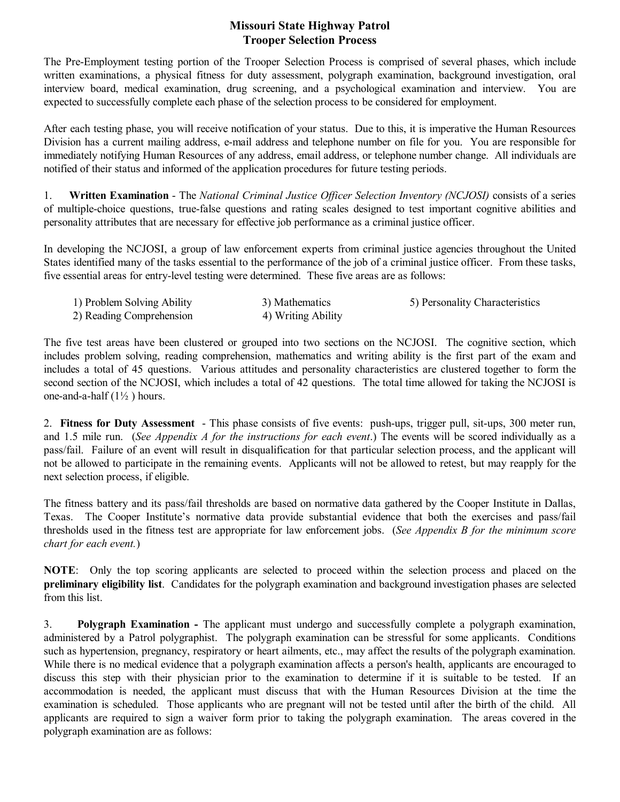The Pre-Employment testing portion of the Trooper Selection Process is comprised of several phases, which include written examinations, a physical fitness for duty assessment, polygraph examination, background investigation, oral interview board, medical examination, drug screening, and a psychological examination and interview. You are expected to successfully complete each phase of the selection process to be considered for employment.

After each testing phase, you will receive notification of your status. Due to this, it is imperative the Human Resources Division has a current mailing address, email address and telephone number on file for you. You are responsible for immediately notifying Human Resources of any address, email address, or telephone number change. All individuals are notified of their status and informed of the application procedures for future testing periods.

1. **Written Examination** The *National Criminal Justice Officer Selection Inventory (NCJOSI)* consists of a series of multiple-choice questions, true-false questions and rating scales designed to test important cognitive abilities and personality attributes that are necessary for effective job performance as a criminal justice officer.

In developing the NCJOSI, a group of law enforcement experts from criminal justice agencies throughout the United States identified many of the tasks essential to the performance of the job of a criminal justice officer. From these tasks, five essential areas for entrylevel testing were determined. These five areas are as follows:

| 1) Problem Solving Ability | 3) Mathematics     | 5) Personality Characteristics |
|----------------------------|--------------------|--------------------------------|
| 2) Reading Comprehension   | 4) Writing Ability |                                |

The five test areas have been clustered or grouped into two sections on the NCJOSI. The cognitive section, which includes problem solving, reading comprehension, mathematics and writing ability is the first part of the exam and includes a total of 45 questions. Various attitudes and personality characteristics are clustered together to form the second section of the NCJOSI, which includes a total of 42 questions. The total time allowed for taking the NCJOSI is one-and-a-half  $(1\frac{1}{2})$  hours.

2. Fitness for Duty Assessment - This phase consists of five events: push-ups, trigger pull, sit-ups, 300 meter run, and 1.5 mile run. (*See Appendix A for the instructions for each event*.) The events will be scored individually as a pass/fail. Failure of an event will result in disqualification for that particular selection process, and the applicant will not be allowed to participate in the remaining events. Applicants will not be allowed to retest, but may reapply for the next selection process, if eligible.

The fitness battery and its pass/fail thresholds are based on normative data gathered by the Cooper Institute in Dallas, Texas. The Cooper Institute's normative data provide substantial evidence that both the exercises and pass/fail thresholds used in the fitness test are appropriate for law enforcement jobs. (*See Appendix B for the minimum score chart for each event.*)

**NOTE**: Only the top scoring applicants are selected to proceed within the selection process and placed on the **preliminary eligibility list**. Candidates for the polygraph examination and background investigation phases are selected from this list.

3. **Polygraph Examination** The applicant must undergo and successfully complete a polygraph examination, administered by a Patrol polygraphist. The polygraph examination can be stressful for some applicants. Conditions such as hypertension, pregnancy, respiratory or heart ailments, etc., may affect the results of the polygraph examination. While there is no medical evidence that a polygraph examination affects a person's health, applicants are encouraged to discuss this step with their physician prior to the examination to determine if it is suitable to be tested. If an accommodation is needed, the applicant must discuss that with the Human Resources Division at the time the examination is scheduled. Those applicants who are pregnant will not be tested until after the birth of the child. All applicants are required to sign a waiver form prior to taking the polygraph examination. The areas covered in the polygraph examination are as follows: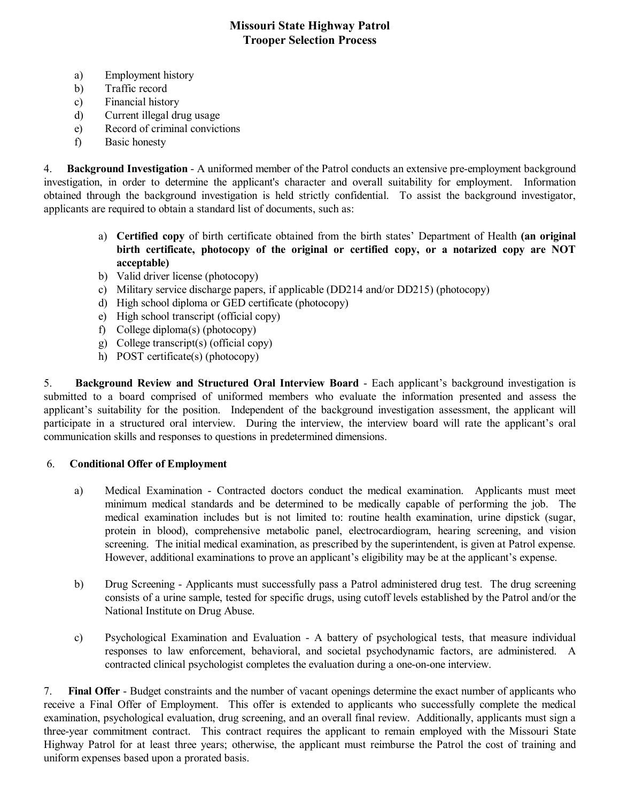- a) Employment history
- b) Traffic record
- c) Financial history
- d) Current illegal drug usage
- e) Record of criminal convictions
- f) Basic honesty

4. **Background Investigation** - A uniformed member of the Patrol conducts an extensive pre-employment background investigation, in order to determine the applicant's character and overall suitability for employment. Information obtained through the background investigation is held strictly confidential. To assist the background investigator, applicants are required to obtain a standard list of documents, such as:

- a) **Certified copy** of birth certificate obtained from the birth states' Department of Health **(an original birth certificate, photocopy of the original or certified copy, or a notarized copy are NOT acceptable)**
- b) Valid driver license (photocopy)
- c) Military service discharge papers, if applicable (DD214 and/or DD215) (photocopy)
- d) High school diploma or GED certificate (photocopy)
- e) High school transcript (official copy)
- f) College diploma(s) (photocopy)
- g) College transcript(s) (official copy)
- h) POST certificate(s) (photocopy)

5. **Background Review and Structured Oral Interview Board** Each applicant's background investigation is submitted to a board comprised of uniformed members who evaluate the information presented and assess the applicant's suitability for the position. Independent of the background investigation assessment, the applicant will participate in a structured oral interview. During the interview, the interview board will rate the applicant's oral communication skills and responses to questions in predetermined dimensions.

#### 6. **Conditional Offer of Employment**

- a) Medical Examination Contracted doctors conduct the medical examination. Applicants must meet minimum medical standards and be determined to be medically capable of performing the job. The medical examination includes but is not limited to: routine health examination, urine dipstick (sugar, protein in blood), comprehensive metabolic panel, electrocardiogram, hearing screening, and vision screening. The initial medical examination, as prescribed by the superintendent, is given at Patrol expense. However, additional examinations to prove an applicant's eligibility may be at the applicant's expense.
- b) Drug Screening Applicants must successfully pass a Patrol administered drug test. The drug screening consists of a urine sample, tested for specific drugs, using cutoff levels established by the Patrol and/or the National Institute on Drug Abuse.
- c) Psychological Examination and Evaluation A battery of psychological tests, that measure individual responses to law enforcement, behavioral, and societal psychodynamic factors, are administered. A contracted clinical psychologist completes the evaluation during a one-on-one interview.

7. **Final Offer** Budget constraints and the number of vacant openings determine the exact number of applicants who receive a Final Offer of Employment. This offer is extended to applicants who successfully complete the medical examination, psychological evaluation, drug screening, and an overall final review. Additionally, applicants must sign a three-year commitment contract. This contract requires the applicant to remain employed with the Missouri State Highway Patrol for at least three years; otherwise, the applicant must reimburse the Patrol the cost of training and uniform expenses based upon a prorated basis.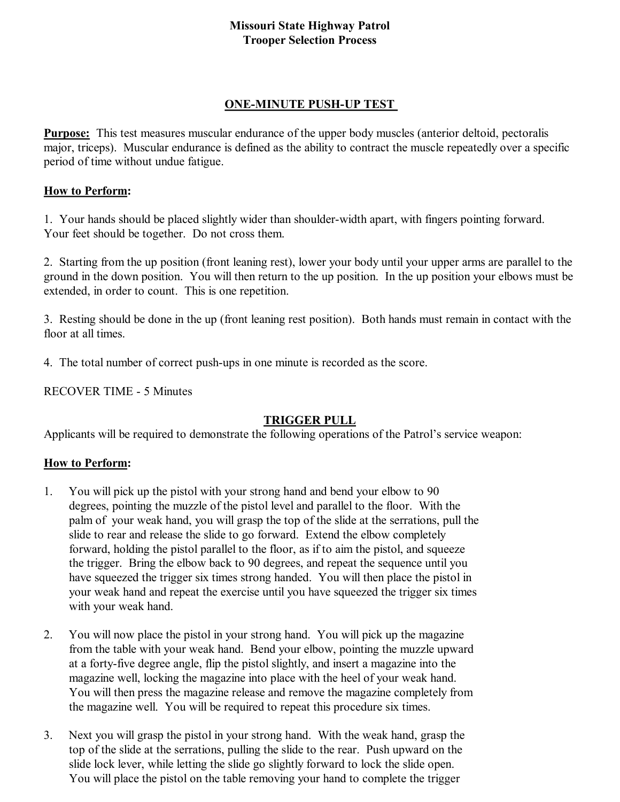#### **ONE-MINUTE PUSH-UP TEST**

**Purpose:** This test measures muscular endurance of the upper body muscles (anterior deltoid, pectoralis major, triceps). Muscular endurance is defined as the ability to contract the muscle repeatedly over a specific period of time without undue fatigue.

#### **How to Perform:**

1. Your hands should be placed slightly wider than shoulder-width apart, with fingers pointing forward. Your feet should be together. Do not cross them.

2. Starting from the up position (front leaning rest), lower your body until your upper arms are parallel to the ground in the down position. You will then return to the up position. In the up position your elbows must be extended, in order to count. This is one repetition.

3. Resting should be done in the up (front leaning rest position). Both hands must remain in contact with the floor at all times.

4. The total number of correct push-ups in one minute is recorded as the score.

RECOVER TIME - 5 Minutes

# **TRIGGER PULL**

Applicants will be required to demonstrate the following operations of the Patrol's service weapon:

# **How to Perform:**

- 1. You will pick up the pistol with your strong hand and bend your elbow to 90 degrees, pointing the muzzle of the pistol level and parallel to the floor. With the palm of your weak hand, you will grasp the top of the slide at the serrations, pull the slide to rear and release the slide to go forward. Extend the elbow completely forward, holding the pistol parallel to the floor, as if to aim the pistol, and squeeze the trigger. Bring the elbow back to 90 degrees, and repeat the sequence until you have squeezed the trigger six times strong handed. You will then place the pistol in your weak hand and repeat the exercise until you have squeezed the trigger six times with your weak hand.
- 2. You will now place the pistol in your strong hand. You will pick up the magazine from the table with your weak hand. Bend your elbow, pointing the muzzle upward at a forty-five degree angle, flip the pistol slightly, and insert a magazine into the magazine well, locking the magazine into place with the heel of your weak hand. You will then press the magazine release and remove the magazine completely from the magazine well. You will be required to repeat this procedure six times.
- 3. Next you will grasp the pistol in your strong hand. With the weak hand, grasp the top of the slide at the serrations, pulling the slide to the rear. Push upward on the slide lock lever, while letting the slide go slightly forward to lock the slide open. You will place the pistol on the table removing your hand to complete the trigger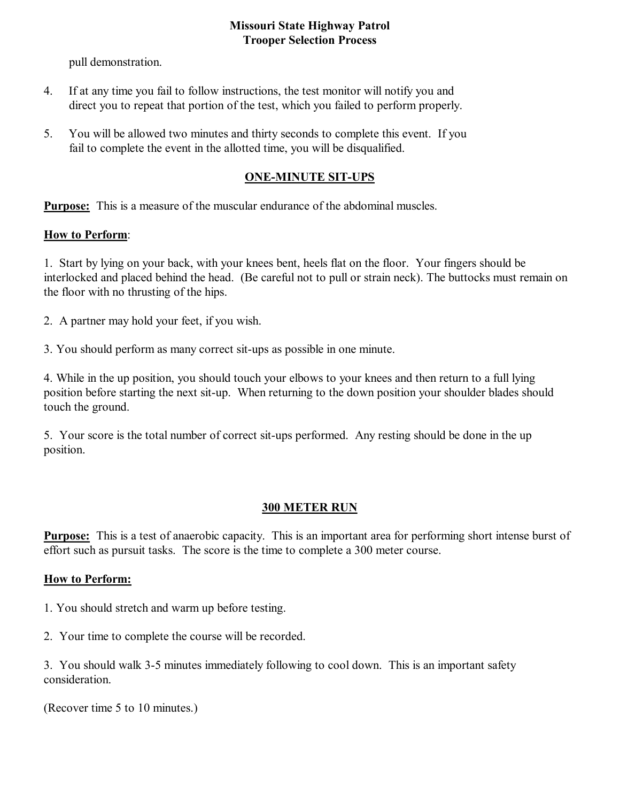pull demonstration.

- 4. If at any time you fail to follow instructions, the test monitor will notify you and direct you to repeat that portion of the test, which you failed to perform properly.
- 5. You will be allowed two minutes and thirty seconds to complete this event. If you fail to complete the event in the allotted time, you will be disqualified.

# **ONE-MINUTE SIT-UPS**

**Purpose:** This is a measure of the muscular endurance of the abdominal muscles.

## **How to Perform**:

1. Start by lying on your back, with your knees bent, heels flat on the floor. Your fingers should be interlocked and placed behind the head. (Be careful not to pull or strain neck). The buttocks must remain on the floor with no thrusting of the hips.

2. A partner may hold your feet, if you wish.

3. You should perform as many correct sit-ups as possible in one minute.

4. While in the up position, you should touch your elbows to your knees and then return to a full lying position before starting the next sit-up. When returning to the down position your shoulder blades should touch the ground.

5. Your score is the total number of correct sit-ups performed. Any resting should be done in the up position.

# **300 METER RUN**

**Purpose:** This is a test of anaerobic capacity. This is an important area for performing short intense burst of effort such as pursuit tasks. The score is the time to complete a 300 meter course.

# **How to Perform:**

1. You should stretch and warm up before testing.

2. Your time to complete the course will be recorded.

3. You should walk 35 minutes immediately following to cool down. This is an important safety consideration.

(Recover time 5 to 10 minutes.)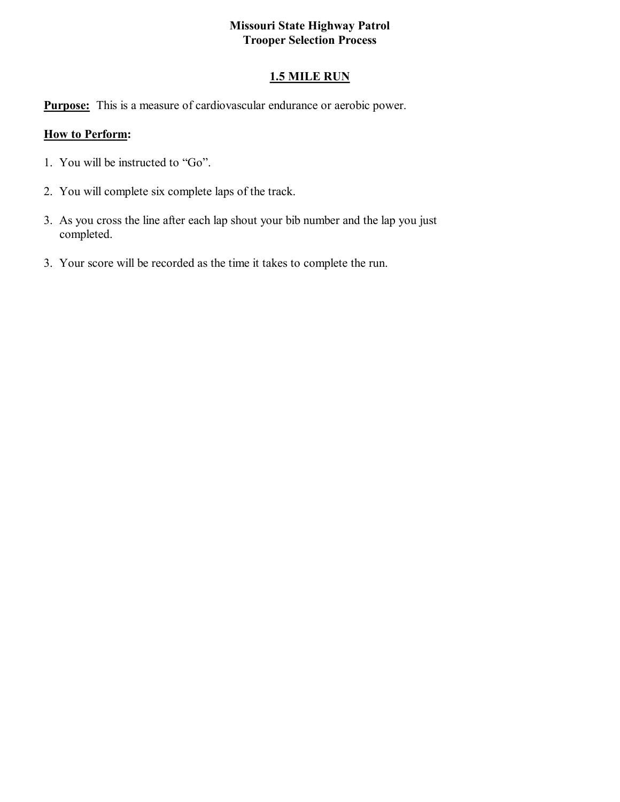# **1.5 MILE RUN**

**Purpose:** This is a measure of cardiovascular endurance or aerobic power.

#### **How to Perform:**

- 1. You will be instructed to "Go".
- 2. You will complete six complete laps of the track.
- 3. As you cross the line after each lap shout your bib number and the lap you just completed.
- 3. Your score will be recorded as the time it takes to complete the run.